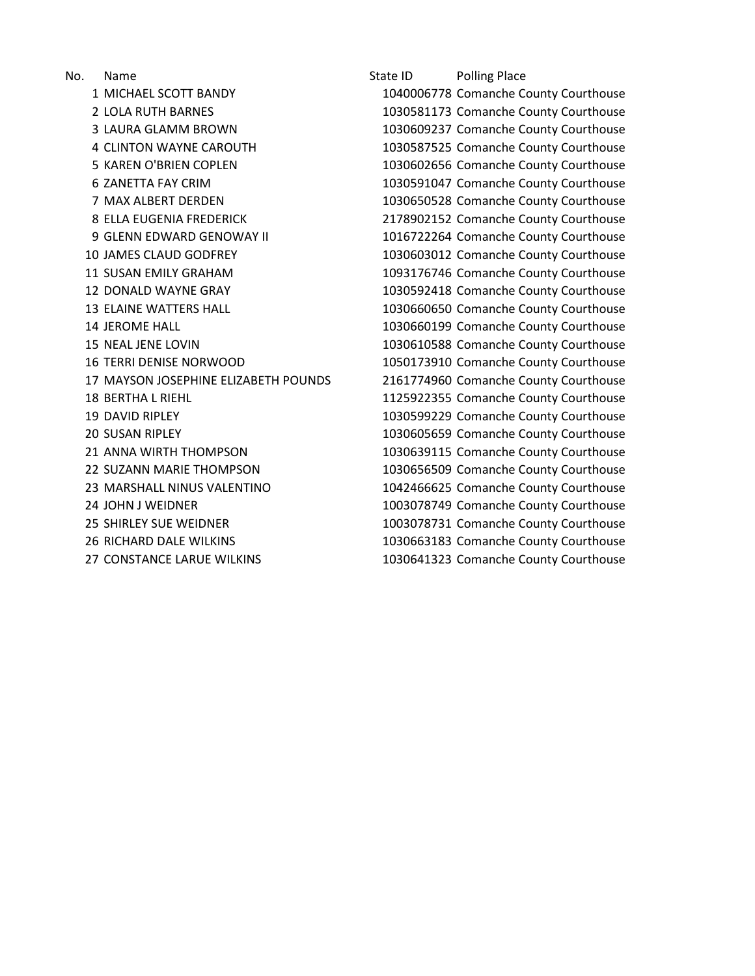No. Name State ID Polling Place 27 CONSTANCE LARUE WILKINS 1030641323 Comanche County Courthouse

 MICHAEL SCOTT BANDY 1040006778 Comanche County Courthouse 2 LOLA RUTH BARNES 1030581173 Comanche County Courthouse LAURA GLAMM BROWN 1030609237 Comanche County Courthouse CLINTON WAYNE CAROUTH 1030587525 Comanche County Courthouse KAREN O'BRIEN COPLEN 1030602656 Comanche County Courthouse ZANETTA FAY CRIM 1030591047 Comanche County Courthouse MAX ALBERT DERDEN 1030650528 Comanche County Courthouse ELLA EUGENIA FREDERICK 2178902152 Comanche County Courthouse 9 GLENN EDWARD GENOWAY II 1016722264 Comanche County Courthouse JAMES CLAUD GODFREY 1030603012 Comanche County Courthouse SUSAN EMILY GRAHAM 1093176746 Comanche County Courthouse DONALD WAYNE GRAY 1030592418 Comanche County Courthouse 13 ELAINE WATTERS HALL 1030660650 Comanche County Courthouse JEROME HALL 1030660199 Comanche County Courthouse NEAL JENE LOVIN 1030610588 Comanche County Courthouse 16 TERRI DENISE NORWOOD 1050173910 Comanche County Courthouse MAYSON JOSEPHINE ELIZABETH POUNDS 2161774960 Comanche County Courthouse BERTHA L RIEHL 1125922355 Comanche County Courthouse DAVID RIPLEY 1030599229 Comanche County Courthouse SUSAN RIPLEY 1030605659 Comanche County Courthouse ANNA WIRTH THOMPSON 1030639115 Comanche County Courthouse SUZANN MARIE THOMPSON 1030656509 Comanche County Courthouse 23 MARSHALL NINUS VALENTINO 1042466625 Comanche County Courthouse JOHN J WEIDNER 1003078749 Comanche County Courthouse SHIRLEY SUE WEIDNER 1003078731 Comanche County Courthouse RICHARD DALE WILKINS 1030663183 Comanche County Courthouse